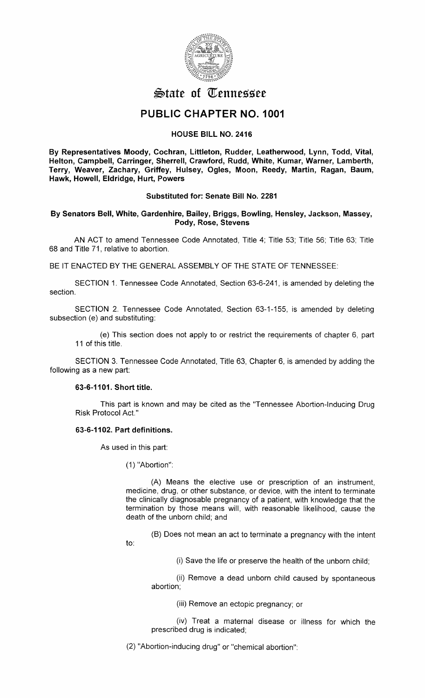

# $\mathfrak{S}$ tate of Tennessee

## **PUBLIC CHAPTER NO. 1001**

## **HOUSE BILL NO. 2416**

**By Representatives Moody, Cochran, Littleton, Rudder, Leatherwood, Lynn, Todd, Vital, Helton, Campbell, Garringer, Sherrell, Crawford, Rudd, White, Kumar, Warner, Lamberth, Terry, Weaver, Zachary, Griffey, Hulsey, Ogles, Moon, Reedy, Martin, Ragan, Baum, Hawk, Howell, Eldridge, Hurt, Powers** 

## **Substituted for: Senate Bill No. 2281**

**By Senators Bell, White, Gardenhire, Bailey, Briggs, Bowling, Hensley, Jackson, Massey,**  Pody, Rose, Stevens

AN ACT to amend Tennessee Code Annotated, Title 4; Title 53; Title 56; Title 63; Title 68 and Title 71, relative to abortion.

BE IT ENACTED BY THE GENERAL ASSEMBLY OF THE STATE OF TENNESSEE:

SECTION 1. Tennessee Code Annotated, Section 63-6-241, is amended by deleting the section.

SECTION 2. Tennessee Code Annotated, Section 63-1-155, is amended by deleting subsection (e) and substituting:

(e) This section does not apply to or restrict the requirements of chapter 6, part 11 of this title.

SECTION 3. Tennessee Code Annotated, Title 63, Chapter 6, is amended by adding the following as a new part:

## **63-6-1101. Short title.**

This part is known and may be cited as the "Tennessee Abortion-Inducing Drug Risk Protocol Act."

## **63-6-1102. Part definitions.**

As used in this part:

to:

(1) "Abortion":

(A) Means the elective use or prescription of an instrument, medicine, drug, or other substance, or device, with the intent to terminate the clinically diagnosable pregnancy of a patient, with knowledge that the termination by those means will, with reasonable likelihood, cause the death of the unborn child; and

(B) Does not mean an act to terminate a pregnancy with the intent

(i) Save the life or preserve the health of the unborn child;

(ii) Remove a dead unborn child caused by spontaneous abortion;

(iii) Remove an ectopic pregnancy; or

(iv) Treat a maternal disease or illness for which the prescribed drug is indicated;

(2) "Abortion-inducing drug" or "chemical abortion":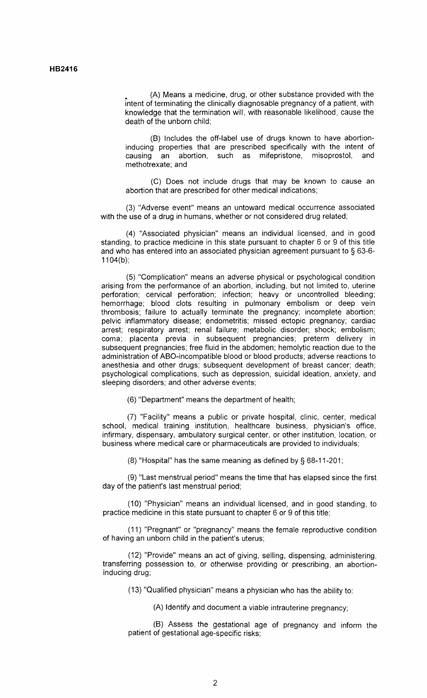(A) Means a medicine, drug, or other substance provided with the intent of terminating the clinically diagnosable pregnancy of a patient, with knowledge that the termination will, with reasonable likelihood, cause the death of the unborn child;

(B) Includes the off-label use of drugs known to have abortioninducing properties that are prescribed specifically with the intent of causing an abortion such as mifenristone misonrostol and causing an abortion, such as mifepristone, misoprostol, methotrexate; and

(C) Does not include drugs that may be known to cause an abortion that are prescribed for other medical indications;

(3) "Adverse event" means an untoward medical occurrence associated with the use of a drug in humans, whether or not considered drug related;

(4) "Associated physician" means an individual licensed, and in good standing, to practice medicine in this state pursuant to chapter 6 or 9 of this title and who has entered into an associated physician agreement pursuant to § 63-6-  $1104(b)$ ;

(5) "Complication" means an adverse physical or psychological condition arising from the performance of an abortion, including, but not limited to, uterine perforation; cervical perforation; infection; heavy or uncontrolled bleeding; hemorrhage; blood clots resulting in pulmonary embolism or deep vein thrombosis; failure to actually terminate the pregnancy; incomplete abortion; pelvic inflammatory disease; endometritis; missed ectopic pregnancy; cardiac arrest; respiratory arrest; renal failure; metabolic disorder; shock; embolism; coma; placenta previa in subsequent pregnancies; preterm delivery in subsequent pregnancies; free fluid in the abdomen; hemolytic reaction due to the administration of ABO-incompatible blood or blood products; adverse reactions to anesthesia and other drugs; subsequent development of breast cancer; death; psychological complications, such as depression, suicidal ideation, anxiety, and sleeping disorders; and other adverse events;

(6) "Department" means the department of health;

(7) "Facility" means a public or private hospital, clinic, center, medical school, medical training institution, healthcare business, physician's office, infirmary, dispensary, ambulatory surgical center, or other institution, location, or business where medical care or pharmaceuticals are provided to individuals;

(8) "Hospital" has the same meaning as defined by § 68-11-201;

(9) "Last menstrual period" means the time that has elapsed since the first day of the patient's last menstrual period;

(10) "Physician" means an individual licensed, and in good standing, to practice medicine in this state pursuant to chapter 6 or 9 of this title;

(11) "Pregnant" or "pregnancy" means the female reproductive condition of having an unborn child in the patient's uterus;

(12) "Provide" means an act of giving, selling, dispensing, administering, transferring possession to, or otherwise providing or prescribing, an abortioninducing drug;

(13) "Qualified physician" means a physician who has the ability to:

(A) Identify and document a viable intrauterine pregnancy;

(B) Assess the gestational age of pregnancy and inform the patient of gestational age-specific risks;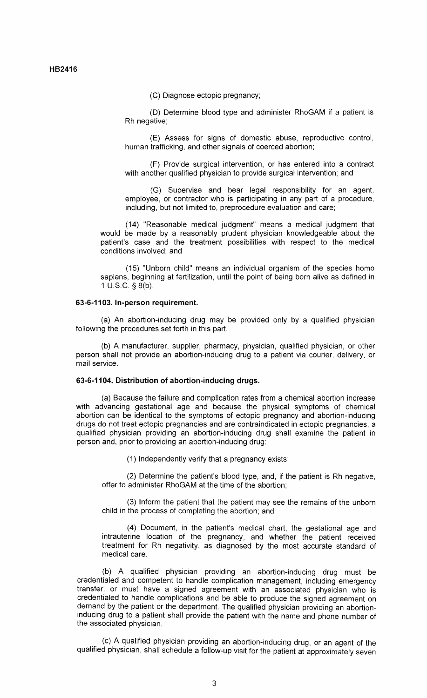**HB2416** 

(C) Diagnose ectopic pregnancy;

(D) Determine blood type and administer RhoGAM if a patient is Rh negative;

(E) Assess for signs of domestic abuse, reproductive control, human trafficking, and other signals of coerced abortion;

(F) Provide surgical intervention, or has entered into a contract with another qualified physician to provide surgical intervention; and

(G) Supervise and bear legal responsibility for an agent, employee, or contractor who is participating in any part of a procedure, including, but not limited to, preprocedure evaluation and care;

(14) "Reasonable medical judgment" means a medical judgment that would be made by a reasonably prudent physician knowledgeable about the patient's case and the treatment possibilities with respect to the medical conditions involved; and

(15) "Unborn child" means an individual organism of the species homo sapiens, beginning at fertilization, until the point of being born alive as defined in 1 U.S.C. § 8(b).

#### **63-6-1103. In-person requirement.**

(a) An abortion-inducing drug may be provided only by a qualified physician following the procedures set forth in this part.

(b) A manufacturer, supplier, pharmacy, physician, qualified physician, or other person shall not provide an abortion-inducing drug to a patient via courier, delivery, or mail service.

## **63-6-1104. Distribution of abortion-inducing drugs.**

(a) Because the failure and complication rates from a chemical abortion increase with advancing gestational age and because the physical symptoms of chemical abortion can be identical to the symptoms of ectopic pregnancy and abortion-inducing drugs do not treat ectopic pregnancies and are contraindicated in ectopic pregnancies, a qualified physician providing an abortion-inducing drug shall examine the patient in person and, prior to providing an abortion-inducing drug:

(1) Independently verify that a pregnancy exists;

(2) Determine the patient's blood type, and, if the patient is Rh negative, offer to administer RhoGAM at the time of the abortion;

(3) Inform the patient that the patient may see the remains of the unborn child in the process of completing the abortion; and

(4) Document, in the patient's medical chart, the gestational age and intrauterine location of the pregnancy, and whether the patient received treatment for Rh negativity, as diagnosed by the most accurate standard of medical care.

(b) A qualified physician providing an abortion-inducing drug must be credentialed and competent to handle complication management, including emergency transfer, or must have a signed agreement with an associated physician who is credentialed to handle complications and be able to produce the signed agreement on demand by the patient or the department. The qualified physician providing an abortioninducing drug to a patient shall provide the patient with the name and phone number of the associated physician.

(c) A qualified physician providing an abortion-inducing drug, or an agent of the qualified physician, shall schedule a follow-up visit for the patient at approximately seven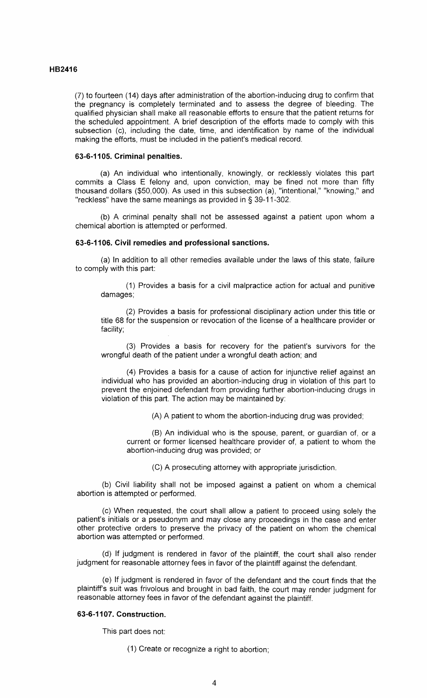## **HB2416**

(7) to fourteen ( 14) days after administration of the abortion-inducing drug to confirm that the pregnancy is completely terminated and to assess the degree of bleeding. The qualified physician shall make all reasonable efforts to ensure that the patient returns for the scheduled appointment. A brief description of the efforts made to comply with this subsection (c), including the date, time, and identification by name of the individual making the efforts, must be included in the patient's medical record.

#### **63-6-1105. Criminal penalties.**

(a) An individual who intentionally, knowingly, or recklessly violates this part commits a Class E felony and, upon conviction, may be fined not more than fifty thousand dollars (\$50,000). As used in this subsection (a), "intentional," "knowing," and "reckless" have the same meanings as provided in § 39-11-302.

(b) A criminal penalty shall not be assessed against a patient upon whom a chemical abortion is attempted or performed.

#### **63-6-1106. Civil remedies and professional sanctions.**

(a) In addition to all other remedies available under the laws of this state, failure to comply with this part:

(1) Provides a basis for a civil malpractice action for actual and punitive damages;

(2) Provides a basis for professional disciplinary action under this title or title 68 for the suspension or revocation of the license of a healthcare provider or facility;

(3) Provides a basis for recovery for the patient's survivors for the wrongful death of the patient under a wrongful death action; and

(4) Provides a basis for a cause of action for injunctive relief against an individual who has provided an abortion-inducing drug in violation of this part to prevent the enjoined defendant from providing further abortion-inducing drugs in violation of this part. The action may be maintained by:

(A) A patient to whom the abortion-inducing drug was provided;

(B) An individual who is the spouse, parent, or guardian of, or a current or former licensed healthcare provider of, a patient to whom the abortion-inducing drug was provided; or

(C) A prosecuting attorney with appropriate jurisdiction.

(b) Civil liability shall not be imposed against a patient on whom a chemical abortion is attempted or performed.

(c) When requested, the court shall allow a patient to proceed using solely the patient's initials or a pseudonym and may close any proceedings in the case and enter other protective orders to preserve the privacy of the patient on whom the chemical abortion was attempted or performed.

(d) If judgment is rendered in favor of the plaintiff, the court shall also render judgment for reasonable attorney fees in favor of the plaintiff against the defendant.

(e) If judgment is rendered in favor of the defendant and the court finds that the plaintiff's suit was frivolous and brought in bad faith, the court may render judgment for reasonable attorney fees in favor of the defendant against the plaintiff.

## **63-6-1107. Construction.**

This part does not:

(1) Create or recognize a right to abortion;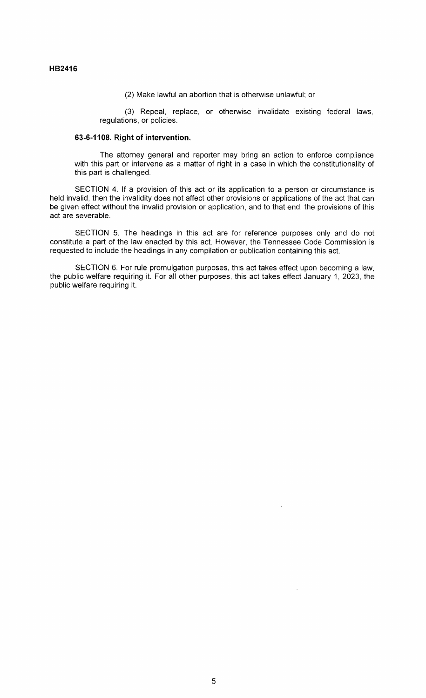(2) Make lawful an abortion that is otherwise unlawful; or

(3) Repeal, replace, or otherwise invalidate existing federal laws, regulations, or policies.

## **63-6-1108. Right of intervention.**

The attorney general and reporter may bring an action to enforce compliance with this part or intervene as a matter of right in a case in which the constitutionality of this part is challenged.

SECTION 4. If a provision of this act or its application to a person or circumstance is held invalid, then the invalidity does not affect other provisions or applications of the act that can be given effect without the invalid provision or application, and to that end, the provisions of this act are severable.

SECTION 5. The headings in this act are for reference purposes only and do not constitute a part of the law enacted by this act. However, the Tennessee Code Commission is requested to include the headings in any compilation or publication containing this act.

SECTION 6. For rule promulgation purposes, this act takes effect upon becoming a law, the public welfare requiring it. For all other purposes, this act takes effect January 1, 2023, the public welfare requiring it.